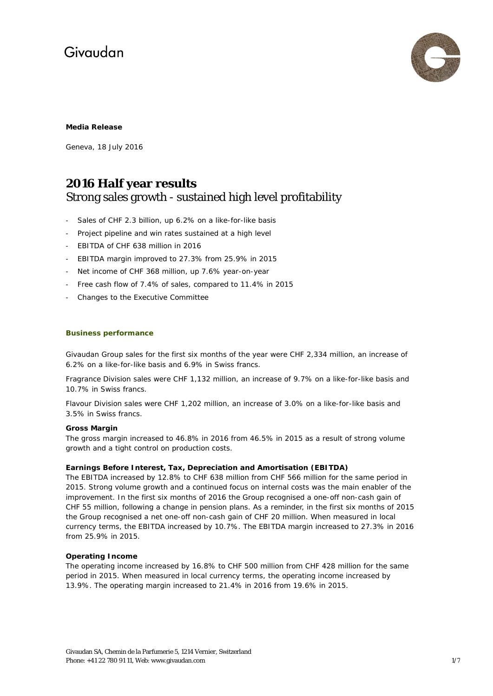

# **Media Release**

Geneva, 18 July 2016

# **2016 Half year results** Strong sales growth - sustained high level profitability

- Sales of CHF 2.3 billion, up 6.2% on a like-for-like basis
- Project pipeline and win rates sustained at a high level
- EBITDA of CHF 638 million in 2016
- EBITDA margin improved to 27.3% from 25.9% in 2015
- Net income of CHF 368 million, up 7.6% year-on-year
- Free cash flow of 7.4% of sales, compared to 11.4% in 2015
- Changes to the Executive Committee

# **Business performance**

Givaudan Group sales for the first six months of the year were CHF 2,334 million, an increase of 6.2% on a like-for-like basis and 6.9% in Swiss francs.

Fragrance Division sales were CHF 1,132 million, an increase of 9.7% on a like-for-like basis and 10.7% in Swiss francs.

Flavour Division sales were CHF 1,202 million, an increase of 3.0% on a like-for-like basis and 3.5% in Swiss francs.

# **Gross Margin**

The gross margin increased to 46.8% in 2016 from 46.5% in 2015 as a result of strong volume growth and a tight control on production costs.

# **Earnings Before Interest, Tax, Depreciation and Amortisation (EBITDA)**

The EBITDA increased by 12.8% to CHF 638 million from CHF 566 million for the same period in 2015. Strong volume growth and a continued focus on internal costs was the main enabler of the improvement. In the first six months of 2016 the Group recognised a one-off non-cash gain of CHF 55 million, following a change in pension plans. As a reminder, in the first six months of 2015 the Group recognised a net one-off non-cash gain of CHF 20 million. When measured in local currency terms, the EBITDA increased by 10.7%. The EBITDA margin increased to 27.3% in 2016 from 25.9% in 2015.

# **Operating Income**

The operating income increased by 16.8% to CHF 500 million from CHF 428 million for the same period in 2015. When measured in local currency terms, the operating income increased by 13.9%. The operating margin increased to 21.4% in 2016 from 19.6% in 2015.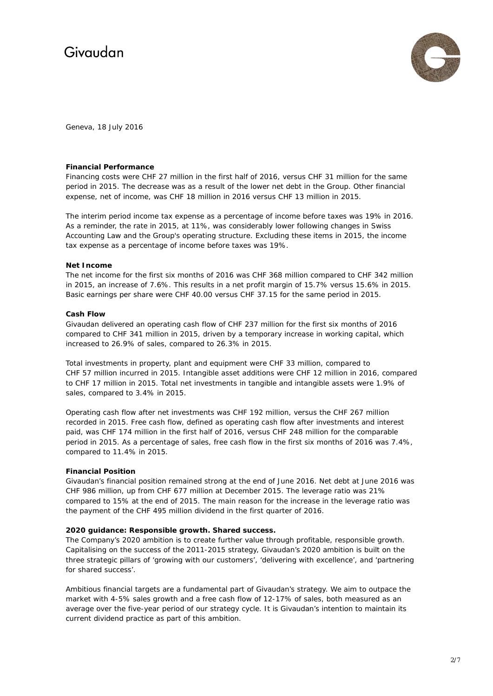

Geneva, 18 July 2016

# **Financial Performance**

Financing costs were CHF 27 million in the first half of 2016, versus CHF 31 million for the same period in 2015. The decrease was as a result of the lower net debt in the Group. Other financial expense, net of income, was CHF 18 million in 2016 versus CHF 13 million in 2015.

The interim period income tax expense as a percentage of income before taxes was 19% in 2016. As a reminder, the rate in 2015, at 11%, was considerably lower following changes in Swiss Accounting Law and the Group's operating structure. Excluding these items in 2015, the income tax expense as a percentage of income before taxes was 19%.

# **Net Income**

The net income for the first six months of 2016 was CHF 368 million compared to CHF 342 million in 2015, an increase of 7.6%. This results in a net profit margin of 15.7% versus 15.6% in 2015. Basic earnings per share were CHF 40.00 versus CHF 37.15 for the same period in 2015.

# **Cash Flow**

Givaudan delivered an operating cash flow of CHF 237 million for the first six months of 2016 compared to CHF 341 million in 2015, driven by a temporary increase in working capital, which increased to 26.9% of sales, compared to 26.3% in 2015.

Total investments in property, plant and equipment were CHF 33 million, compared to CHF 57 million incurred in 2015. Intangible asset additions were CHF 12 million in 2016, compared to CHF 17 million in 2015. Total net investments in tangible and intangible assets were 1.9% of sales, compared to 3.4% in 2015.

Operating cash flow after net investments was CHF 192 million, versus the CHF 267 million recorded in 2015. Free cash flow, defined as operating cash flow after investments and interest paid, was CHF 174 million in the first half of 2016, versus CHF 248 million for the comparable period in 2015. As a percentage of sales, free cash flow in the first six months of 2016 was 7.4%, compared to 11.4% in 2015.

# **Financial Position**

Givaudan's financial position remained strong at the end of June 2016. Net debt at June 2016 was CHF 986 million, up from CHF 677 million at December 2015. The leverage ratio was 21% compared to 15% at the end of 2015. The main reason for the increase in the leverage ratio was the payment of the CHF 495 million dividend in the first quarter of 2016.

#### **2020 guidance: Responsible growth. Shared success.**

The Company's 2020 ambition is to create further value through profitable, responsible growth. Capitalising on the success of the 2011-2015 strategy, Givaudan's 2020 ambition is built on the three strategic pillars of 'growing with our customers', 'delivering with excellence', and 'partnering for shared success'.

Ambitious financial targets are a fundamental part of Givaudan's strategy. We aim to outpace the market with 4-5% sales growth and a free cash flow of 12-17% of sales, both measured as an average over the five-year period of our strategy cycle. It is Givaudan's intention to maintain its current dividend practice as part of this ambition.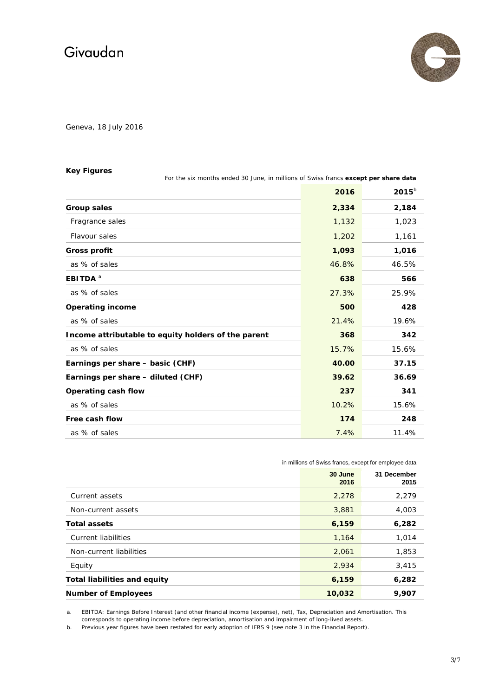

Geneva, 18 July 2016

# **Key Figures**

| For the six months ended 30 June, in millions of Swiss francs except per share data |       |            |
|-------------------------------------------------------------------------------------|-------|------------|
|                                                                                     | 2016  | $2015^{b}$ |
| Group sales                                                                         | 2,334 | 2,184      |
| Fragrance sales                                                                     | 1,132 | 1,023      |
| Flavour sales                                                                       | 1,202 | 1,161      |
| <b>Gross profit</b>                                                                 | 1,093 | 1,016      |
| as % of sales                                                                       | 46.8% | 46.5%      |
| <b>EBITDA</b> <sup>a</sup>                                                          | 638   | 566        |
| as % of sales                                                                       | 27.3% | 25.9%      |
| <b>Operating income</b>                                                             | 500   | 428        |
| as % of sales                                                                       | 21.4% | 19.6%      |
| Income attributable to equity holders of the parent                                 | 368   | 342        |
| as % of sales                                                                       | 15.7% | 15.6%      |
| Earnings per share - basic (CHF)                                                    | 40.00 | 37.15      |
| Earnings per share - diluted (CHF)                                                  | 39.62 | 36.69      |
| Operating cash flow                                                                 | 237   | 341        |
| as % of sales                                                                       | 10.2% | 15.6%      |
| Free cash flow                                                                      | 174   | 248        |
| as % of sales                                                                       | 7.4%  | 11.4%      |

in millions of Swiss francs, except for employee data

|                                     | 30 June<br>2016 | 31 December<br>2015 |
|-------------------------------------|-----------------|---------------------|
| Current assets                      | 2,278           | 2,279               |
| Non-current assets                  | 3,881           | 4,003               |
| <b>Total assets</b>                 | 6,159           | 6,282               |
| Current liabilities                 | 1,164           | 1,014               |
| Non-current liabilities             | 2,061           | 1,853               |
| Equity                              | 2,934           | 3,415               |
| <b>Total liabilities and equity</b> | 6,159           | 6,282               |
| <b>Number of Employees</b>          | 10,032          | 9,907               |

a. EBITDA: Earnings Before Interest (and other financial income (expense), net), Tax, Depreciation and Amortisation. This corresponds to operating income before depreciation, amortisation and impairment of long-lived assets.

b. Previous year figures have been restated for early adoption of IFRS 9 (see note 3 in the Financial Report).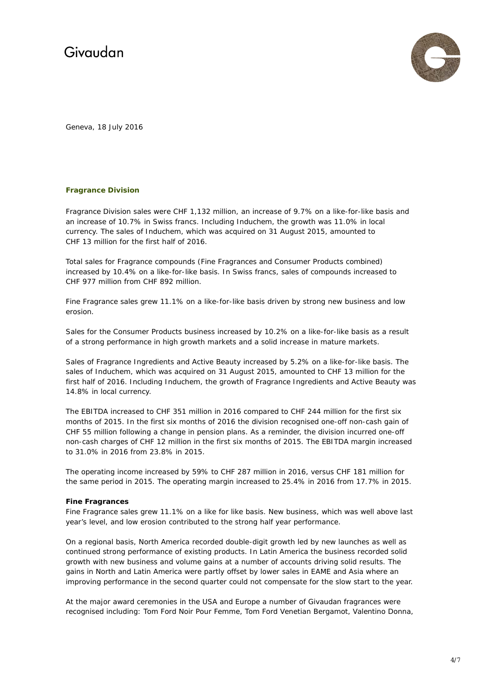

Geneva, 18 July 2016

# **Fragrance Division**

Fragrance Division sales were CHF 1,132 million, an increase of 9.7% on a like-for-like basis and an increase of 10.7% in Swiss francs. Including Induchem, the growth was 11.0% in local currency. The sales of Induchem, which was acquired on 31 August 2015, amounted to CHF 13 million for the first half of 2016.

Total sales for Fragrance compounds (Fine Fragrances and Consumer Products combined) increased by 10.4% on a like-for-like basis. In Swiss francs, sales of compounds increased to CHF 977 million from CHF 892 million.

Fine Fragrance sales grew 11.1% on a like-for-like basis driven by strong new business and low erosion.

Sales for the Consumer Products business increased by 10.2% on a like-for-like basis as a result of a strong performance in high growth markets and a solid increase in mature markets.

Sales of Fragrance Ingredients and Active Beauty increased by 5.2% on a like-for-like basis. The sales of Induchem, which was acquired on 31 August 2015, amounted to CHF 13 million for the first half of 2016. Including Induchem, the growth of Fragrance Ingredients and Active Beauty was 14.8% in local currency.

The EBITDA increased to CHF 351 million in 2016 compared to CHF 244 million for the first six months of 2015. In the first six months of 2016 the division recognised one-off non-cash gain of CHF 55 million following a change in pension plans. As a reminder, the division incurred one-off non-cash charges of CHF 12 million in the first six months of 2015. The EBITDA margin increased to 31.0% in 2016 from 23.8% in 2015.

The operating income increased by 59% to CHF 287 million in 2016, versus CHF 181 million for the same period in 2015. The operating margin increased to 25.4% in 2016 from 17.7% in 2015.

# **Fine Fragrances**

Fine Fragrance sales grew 11.1% on a like for like basis. New business, which was well above last year's level, and low erosion contributed to the strong half year performance.

On a regional basis, North America recorded double-digit growth led by new launches as well as continued strong performance of existing products. In Latin America the business recorded solid growth with new business and volume gains at a number of accounts driving solid results. The gains in North and Latin America were partly offset by lower sales in EAME and Asia where an improving performance in the second quarter could not compensate for the slow start to the year.

At the major award ceremonies in the USA and Europe a number of Givaudan fragrances were recognised including: Tom Ford Noir Pour Femme, Tom Ford Venetian Bergamot, Valentino Donna,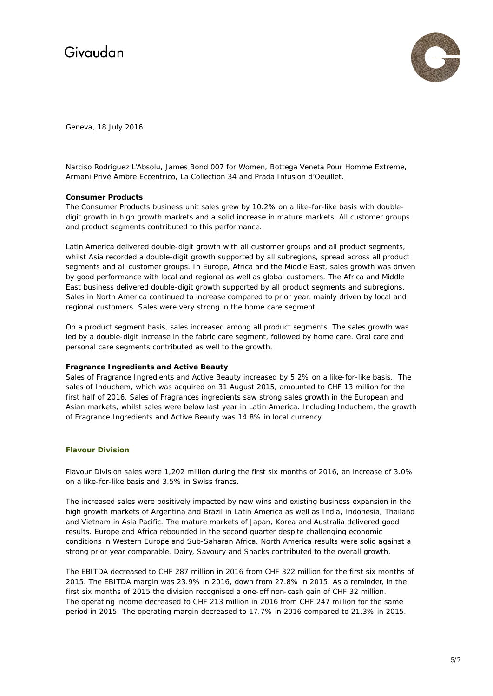

Geneva, 18 July 2016

Narciso Rodriguez L'Absolu, James Bond 007 for Women, Bottega Veneta Pour Homme Extreme, Armani Privè Ambre Eccentrico, La Collection 34 and Prada Infusion d'Oeuillet.

# **Consumer Products**

The Consumer Products business unit sales grew by 10.2% on a like-for-like basis with doubledigit growth in high growth markets and a solid increase in mature markets. All customer groups and product segments contributed to this performance.

Latin America delivered double-digit growth with all customer groups and all product segments, whilst Asia recorded a double-digit growth supported by all subregions, spread across all product segments and all customer groups. In Europe, Africa and the Middle East, sales growth was driven by good performance with local and regional as well as global customers. The Africa and Middle East business delivered double-digit growth supported by all product segments and subregions. Sales in North America continued to increase compared to prior year, mainly driven by local and regional customers. Sales were very strong in the home care segment.

On a product segment basis, sales increased among all product segments. The sales growth was led by a double-digit increase in the fabric care segment, followed by home care. Oral care and personal care segments contributed as well to the growth.

# **Fragrance Ingredients and Active Beauty**

Sales of Fragrance Ingredients and Active Beauty increased by 5.2% on a like-for-like basis. The sales of Induchem, which was acquired on 31 August 2015, amounted to CHF 13 million for the first half of 2016. Sales of Fragrances ingredients saw strong sales growth in the European and Asian markets, whilst sales were below last year in Latin America. Including Induchem, the growth of Fragrance Ingredients and Active Beauty was 14.8% in local currency.

#### **Flavour Division**

Flavour Division sales were 1,202 million during the first six months of 2016, an increase of 3.0% on a like-for-like basis and 3.5% in Swiss francs.

The increased sales were positively impacted by new wins and existing business expansion in the high growth markets of Argentina and Brazil in Latin America as well as India, Indonesia, Thailand and Vietnam in Asia Pacific. The mature markets of Japan, Korea and Australia delivered good results. Europe and Africa rebounded in the second quarter despite challenging economic conditions in Western Europe and Sub-Saharan Africa. North America results were solid against a strong prior year comparable. Dairy, Savoury and Snacks contributed to the overall growth.

The EBITDA decreased to CHF 287 million in 2016 from CHF 322 million for the first six months of 2015. The EBITDA margin was 23.9% in 2016, down from 27.8% in 2015. As a reminder, in the first six months of 2015 the division recognised a one-off non-cash gain of CHF 32 million. The operating income decreased to CHF 213 million in 2016 from CHF 247 million for the same period in 2015. The operating margin decreased to 17.7% in 2016 compared to 21.3% in 2015.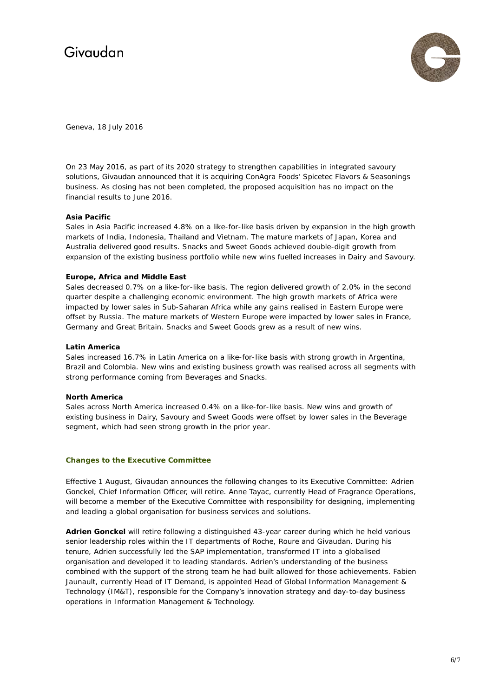

Geneva, 18 July 2016

On 23 May 2016, as part of its 2020 strategy to strengthen capabilities in integrated savoury solutions, Givaudan announced that it is acquiring ConAgra Foods' Spicetec Flavors & Seasonings business. As closing has not been completed, the proposed acquisition has no impact on the financial results to June 2016.

# **Asia Pacific**

Sales in Asia Pacific increased 4.8% on a like-for-like basis driven by expansion in the high growth markets of India, Indonesia, Thailand and Vietnam. The mature markets of Japan, Korea and Australia delivered good results. Snacks and Sweet Goods achieved double-digit growth from expansion of the existing business portfolio while new wins fuelled increases in Dairy and Savoury.

# **Europe, Africa and Middle East**

Sales decreased 0.7% on a like-for-like basis. The region delivered growth of 2.0% in the second quarter despite a challenging economic environment. The high growth markets of Africa were impacted by lower sales in Sub-Saharan Africa while any gains realised in Eastern Europe were offset by Russia. The mature markets of Western Europe were impacted by lower sales in France, Germany and Great Britain. Snacks and Sweet Goods grew as a result of new wins.

# **Latin America**

Sales increased 16.7% in Latin America on a like-for-like basis with strong growth in Argentina, Brazil and Colombia. New wins and existing business growth was realised across all segments with strong performance coming from Beverages and Snacks.

# **North America**

Sales across North America increased 0.4% on a like-for-like basis. New wins and growth of existing business in Dairy, Savoury and Sweet Goods were offset by lower sales in the Beverage segment, which had seen strong growth in the prior year.

# **Changes to the Executive Committee**

Effective 1 August, Givaudan announces the following changes to its Executive Committee: Adrien Gonckel, Chief Information Officer, will retire. Anne Tayac, currently Head of Fragrance Operations, will become a member of the Executive Committee with responsibility for designing, implementing and leading a global organisation for business services and solutions.

**Adrien Gonckel** will retire following a distinguished 43-year career during which he held various senior leadership roles within the IT departments of Roche, Roure and Givaudan. During his tenure, Adrien successfully led the SAP implementation, transformed IT into a globalised organisation and developed it to leading standards. Adrien's understanding of the business combined with the support of the strong team he had built allowed for those achievements. Fabien Jaunault, currently Head of IT Demand, is appointed Head of Global Information Management & Technology (IM&T), responsible for the Company's innovation strategy and day-to-day business operations in Information Management & Technology.